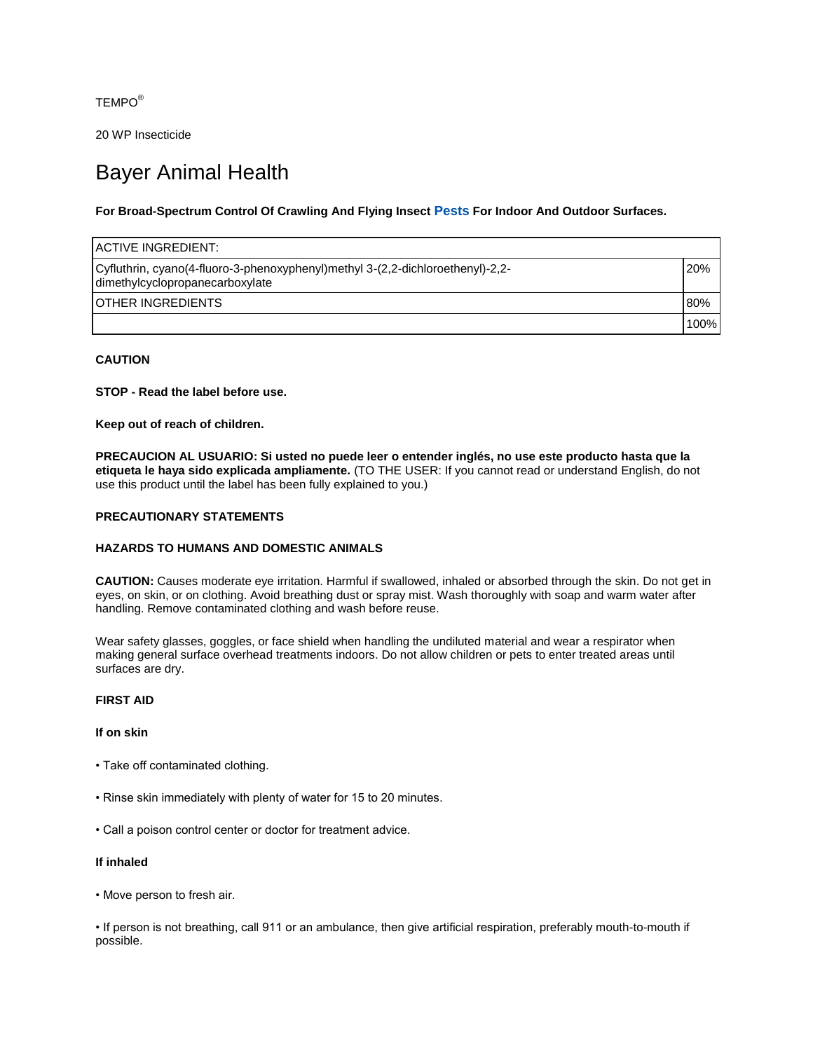TEMPO®

20 WP Insecticide

# Bayer Animal Health

# **For Broad-Spectrum Control Of Crawling And Flying Insect [Pests](http://bayer.naccvp.com/index.php?username=country&password=msds&prodnum=1040036&id=1040036&m=product_basic_view) For Indoor And Outdoor Surfaces.**

| IACTIVE INGREDIENT:                                                                                            |      |
|----------------------------------------------------------------------------------------------------------------|------|
| -2,2-dichloroethenyl)-2,2- Cyfludtrin, cyano(4-fluoro-3-phenoxyphenyl)-2,4-<br>dimethylcyclopropanecarboxylate | 20%  |
| IOTHER INGREDIENTS                                                                                             | 80%  |
|                                                                                                                | 100% |

# **CAUTION**

**STOP - Read the label before use.**

**Keep out of reach of children.**

**PRECAUCION AL USUARIO: Si usted no puede leer o entender inglés, no use este producto hasta que la etiqueta le haya sido explicada ampliamente.** (TO THE USER: If you cannot read or understand English, do not use this product until the label has been fully explained to you.)

#### **PRECAUTIONARY STATEMENTS**

# **HAZARDS TO HUMANS AND DOMESTIC ANIMALS**

**CAUTION:** Causes moderate eye irritation. Harmful if swallowed, inhaled or absorbed through the skin. Do not get in eyes, on skin, or on clothing. Avoid breathing dust or spray mist. Wash thoroughly with soap and warm water after handling. Remove contaminated clothing and wash before reuse.

Wear safety glasses, goggles, or face shield when handling the undiluted material and wear a respirator when making general surface overhead treatments indoors. Do not allow children or pets to enter treated areas until surfaces are dry.

#### **FIRST AID**

#### **If on skin**

- Take off contaminated clothing.
- Rinse skin immediately with plenty of water for 15 to 20 minutes.
- Call a poison control center or doctor for treatment advice.

## **If inhaled**

• Move person to fresh air.

• If person is not breathing, call 911 or an ambulance, then give artificial respiration, preferably mouth-to-mouth if possible.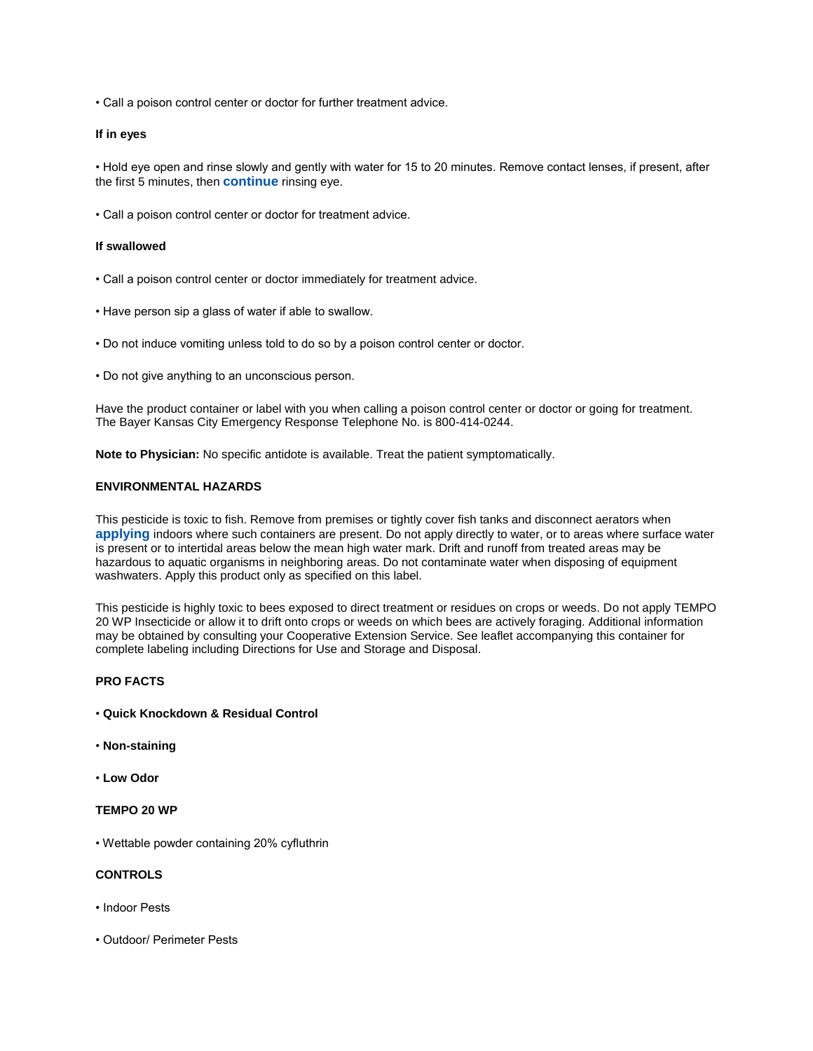• Call a poison control center or doctor for further treatment advice.

#### **If in eyes**

• Hold eye open and rinse slowly and gently with water for 15 to 20 minutes. Remove contact lenses, if present, after the first 5 minutes, then **[continue](http://bayer.naccvp.com/index.php?username=country&password=msds&prodnum=1040036&id=1040036&m=product_basic_view)** rinsing eye.

• Call a poison control center or doctor for treatment advice.

#### **If swallowed**

- Call a poison control center or doctor immediately for treatment advice.
- Have person sip a glass of water if able to swallow.
- Do not induce vomiting unless told to do so by a poison control center or doctor.
- Do not give anything to an unconscious person.

Have the product container or label with you when calling a poison control center or doctor or going for treatment. The Bayer Kansas City Emergency Response Telephone No. is 800-414-0244.

**Note to Physician:** No specific antidote is available. Treat the patient symptomatically.

## **ENVIRONMENTAL HAZARDS**

This pesticide is toxic to fish. Remove from premises or tightly cover fish tanks and disconnect aerators when **[applying](http://bayer.naccvp.com/index.php?username=country&password=msds&prodnum=1040036&id=1040036&m=product_basic_view)** indoors where such containers are present. Do not apply directly to water, or to areas where surface water is present or to intertidal areas below the mean high water mark. Drift and runoff from treated areas may be hazardous to aquatic organisms in neighboring areas. Do not contaminate water when disposing of equipment washwaters. Apply this product only as specified on this label.

This pesticide is highly toxic to bees exposed to direct treatment or residues on crops or weeds. Do not apply TEMPO 20 WP Insecticide or allow it to drift onto crops or weeds on which bees are actively foraging. Additional information may be obtained by consulting your Cooperative Extension Service. See leaflet accompanying this container for complete labeling including Directions for Use and Storage and Disposal.

## **PRO FACTS**

- **Quick Knockdown & Residual Control**
- **Non-staining**
- **Low Odor**

# **TEMPO 20 WP**

• Wettable powder containing 20% cyfluthrin

# **CONTROLS**

- Indoor Pests
- Outdoor/ Perimeter Pests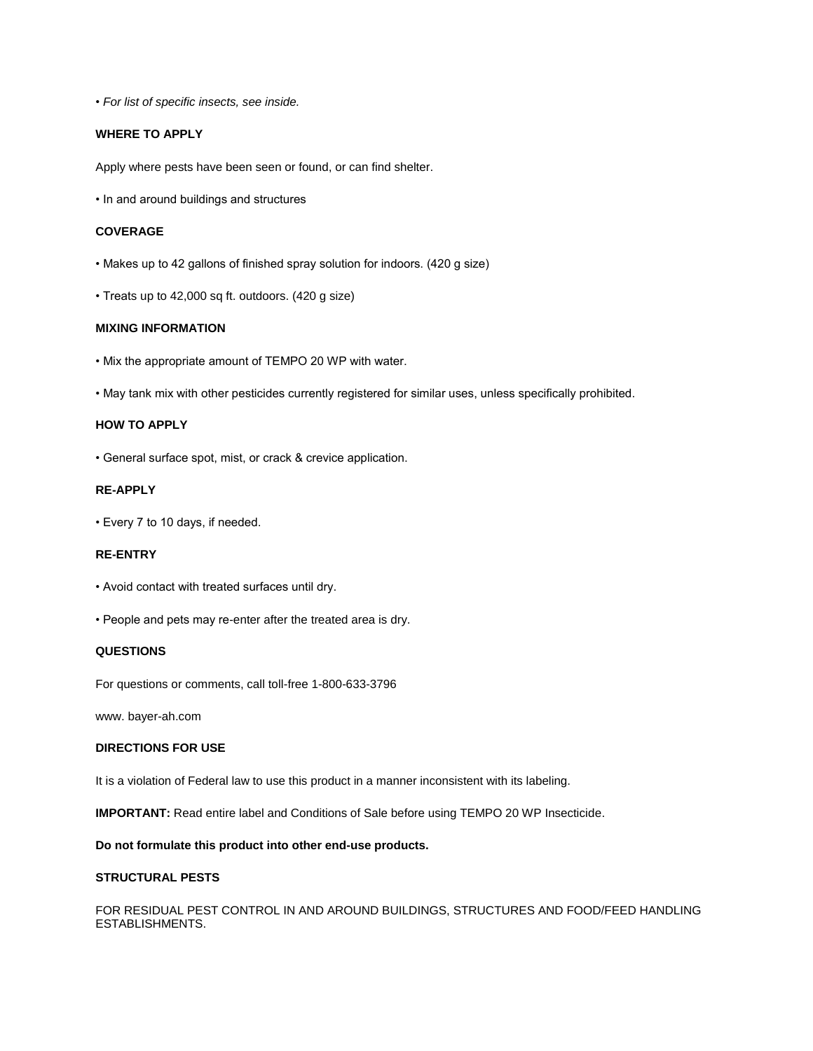• *For list of specific insects, see inside.*

# **WHERE TO APPLY**

Apply where pests have been seen or found, or can find shelter.

• In and around buildings and structures

#### **COVERAGE**

- Makes up to 42 gallons of finished spray solution for indoors. (420 g size)
- Treats up to 42,000 sq ft. outdoors. (420 g size)

## **MIXING INFORMATION**

- Mix the appropriate amount of TEMPO 20 WP with water.
- May tank mix with other pesticides currently registered for similar uses, unless specifically prohibited.

# **HOW TO APPLY**

• General surface spot, mist, or crack & crevice application.

# **RE-APPLY**

• Every 7 to 10 days, if needed.

# **RE-ENTRY**

- Avoid contact with treated surfaces until dry.
- People and pets may re-enter after the treated area is dry.

#### **QUESTIONS**

For questions or comments, call toll-free 1-800-633-3796

www. bayer-ah.com

## **DIRECTIONS FOR USE**

It is a violation of Federal law to use this product in a manner inconsistent with its labeling.

**IMPORTANT:** Read entire label and Conditions of Sale before using TEMPO 20 WP Insecticide.

# **Do not formulate this product into other end-use products.**

# **STRUCTURAL PESTS**

FOR RESIDUAL PEST CONTROL IN AND AROUND BUILDINGS, STRUCTURES AND FOOD/FEED HANDLING ESTABLISHMENTS.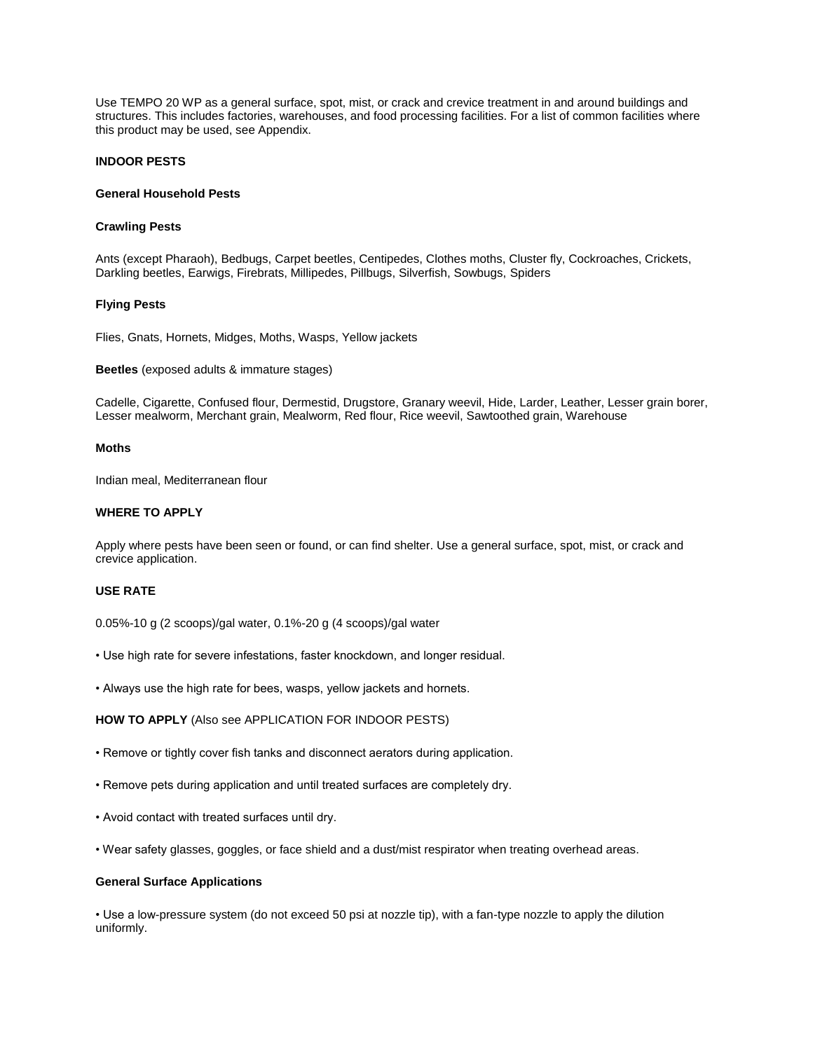Use TEMPO 20 WP as a general surface, spot, mist, or crack and crevice treatment in and around buildings and structures. This includes factories, warehouses, and food processing facilities. For a list of common facilities where this product may be used, see Appendix.

# **INDOOR PESTS**

#### **General Household Pests**

#### **Crawling Pests**

Ants (except Pharaoh), Bedbugs, Carpet beetles, Centipedes, Clothes moths, Cluster fly, Cockroaches, Crickets, Darkling beetles, Earwigs, Firebrats, Millipedes, Pillbugs, Silverfish, Sowbugs, Spiders

#### **Flying Pests**

Flies, Gnats, Hornets, Midges, Moths, Wasps, Yellow jackets

**Beetles** (exposed adults & immature stages)

Cadelle, Cigarette, Confused flour, Dermestid, Drugstore, Granary weevil, Hide, Larder, Leather, Lesser grain borer, Lesser mealworm, Merchant grain, Mealworm, Red flour, Rice weevil, Sawtoothed grain, Warehouse

#### **Moths**

Indian meal, Mediterranean flour

#### **WHERE TO APPLY**

Apply where pests have been seen or found, or can find shelter. Use a general surface, spot, mist, or crack and crevice application.

#### **USE RATE**

0.05%-10 g (2 scoops)/gal water, 0.1%-20 g (4 scoops)/gal water

- Use high rate for severe infestations, faster knockdown, and longer residual.
- Always use the high rate for bees, wasps, yellow jackets and hornets.

#### **HOW TO APPLY** (Also see APPLICATION FOR INDOOR PESTS)

- Remove or tightly cover fish tanks and disconnect aerators during application.
- Remove pets during application and until treated surfaces are completely dry.
- Avoid contact with treated surfaces until dry.
- Wear safety glasses, goggles, or face shield and a dust/mist respirator when treating overhead areas.

#### **General Surface Applications**

• Use a low-pressure system (do not exceed 50 psi at nozzle tip), with a fan-type nozzle to apply the dilution uniformly.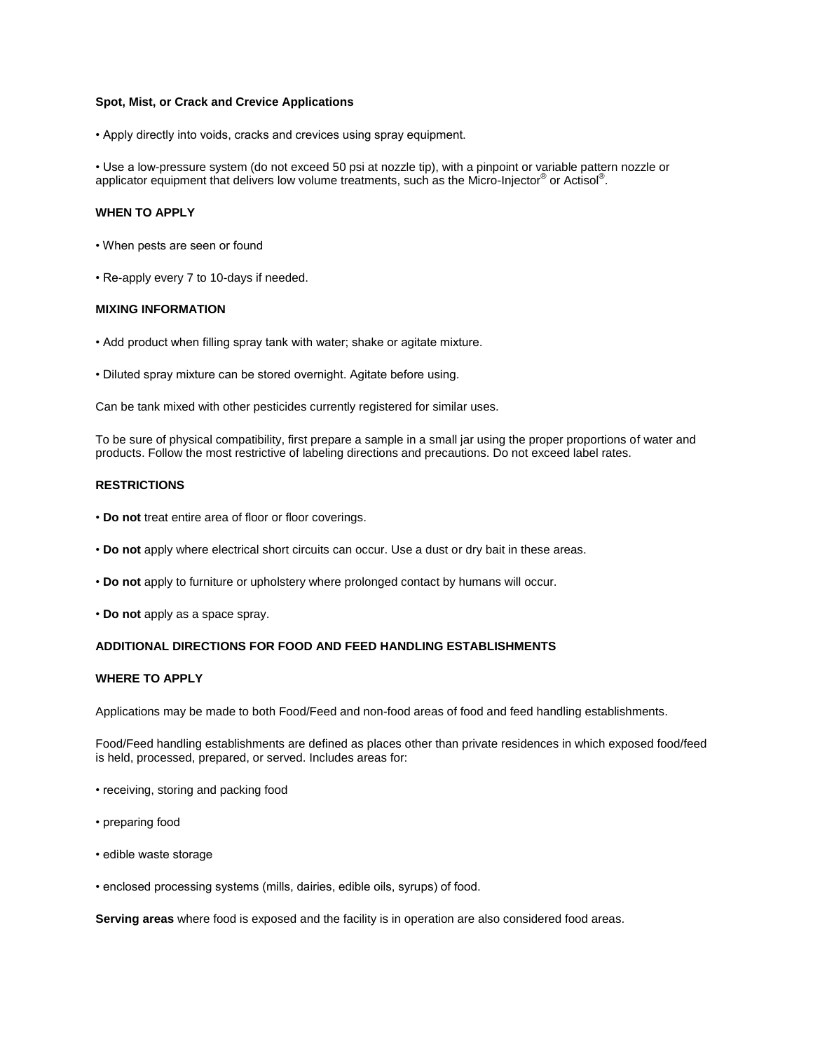#### **Spot, Mist, or Crack and Crevice Applications**

• Apply directly into voids, cracks and crevices using spray equipment.

• Use a low-pressure system (do not exceed 50 psi at nozzle tip), with a pinpoint or variable pattern nozzle or applicator equipment that delivers low volume treatments, such as the Micro-Injector® or Actisol®.

#### **WHEN TO APPLY**

- When pests are seen or found
- Re-apply every 7 to 10-days if needed.

#### **MIXING INFORMATION**

- Add product when filling spray tank with water; shake or agitate mixture.
- Diluted spray mixture can be stored overnight. Agitate before using.

Can be tank mixed with other pesticides currently registered for similar uses.

To be sure of physical compatibility, first prepare a sample in a small jar using the proper proportions of water and products. Follow the most restrictive of labeling directions and precautions. Do not exceed label rates.

## **RESTRICTIONS**

- **Do not** treat entire area of floor or floor coverings.
- **Do not** apply where electrical short circuits can occur. Use a dust or dry bait in these areas.
- **Do not** apply to furniture or upholstery where prolonged contact by humans will occur.
- **Do not** apply as a space spray.

## **ADDITIONAL DIRECTIONS FOR FOOD AND FEED HANDLING ESTABLISHMENTS**

## **WHERE TO APPLY**

Applications may be made to both Food/Feed and non-food areas of food and feed handling establishments.

Food/Feed handling establishments are defined as places other than private residences in which exposed food/feed is held, processed, prepared, or served. Includes areas for:

- receiving, storing and packing food
- preparing food
- edible waste storage
- enclosed processing systems (mills, dairies, edible oils, syrups) of food.

**Serving areas** where food is exposed and the facility is in operation are also considered food areas.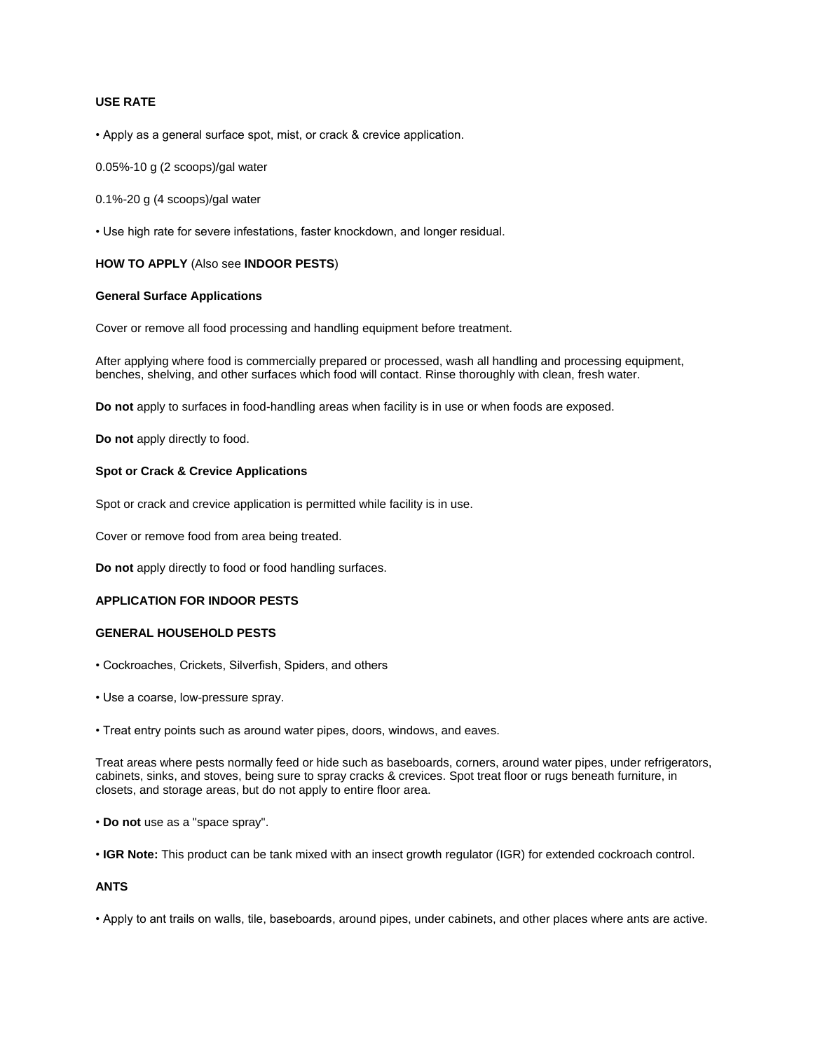# **USE RATE**

• Apply as a general surface spot, mist, or crack & crevice application.

0.05%-10 g (2 scoops)/gal water

0.1%-20 g (4 scoops)/gal water

• Use high rate for severe infestations, faster knockdown, and longer residual.

# **HOW TO APPLY** (Also see **INDOOR PESTS**)

## **General Surface Applications**

Cover or remove all food processing and handling equipment before treatment.

After applying where food is commercially prepared or processed, wash all handling and processing equipment, benches, shelving, and other surfaces which food will contact. Rinse thoroughly with clean, fresh water.

**Do not** apply to surfaces in food-handling areas when facility is in use or when foods are exposed.

**Do not** apply directly to food.

## **Spot or Crack & Crevice Applications**

Spot or crack and crevice application is permitted while facility is in use.

Cover or remove food from area being treated.

**Do not** apply directly to food or food handling surfaces.

# **APPLICATION FOR INDOOR PESTS**

#### **GENERAL HOUSEHOLD PESTS**

- Cockroaches, Crickets, Silverfish, Spiders, and others
- Use a coarse, low-pressure spray.
- Treat entry points such as around water pipes, doors, windows, and eaves.

Treat areas where pests normally feed or hide such as baseboards, corners, around water pipes, under refrigerators, cabinets, sinks, and stoves, being sure to spray cracks & crevices. Spot treat floor or rugs beneath furniture, in closets, and storage areas, but do not apply to entire floor area.

- **Do not** use as a "space spray".
- **IGR Note:** This product can be tank mixed with an insect growth regulator (IGR) for extended cockroach control.

## **ANTS**

• Apply to ant trails on walls, tile, baseboards, around pipes, under cabinets, and other places where ants are active.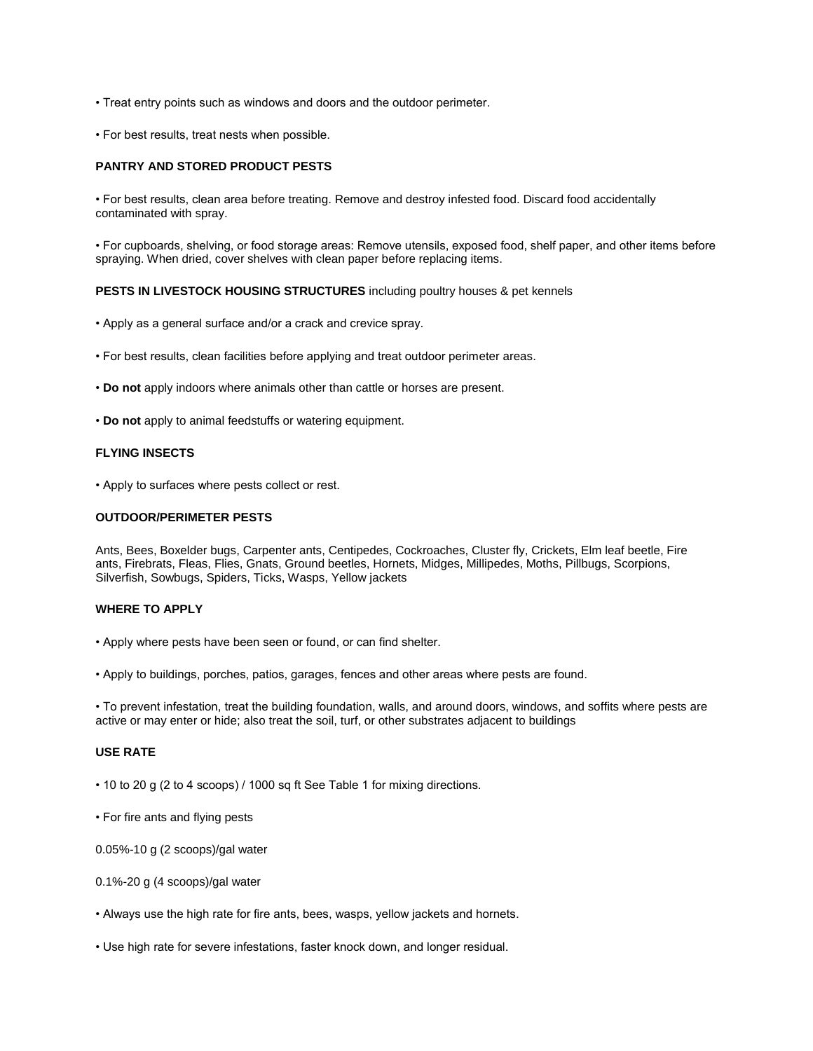- Treat entry points such as windows and doors and the outdoor perimeter.
- For best results, treat nests when possible.

# **PANTRY AND STORED PRODUCT PESTS**

• For best results, clean area before treating. Remove and destroy infested food. Discard food accidentally contaminated with spray.

• For cupboards, shelving, or food storage areas: Remove utensils, exposed food, shelf paper, and other items before spraying. When dried, cover shelves with clean paper before replacing items.

#### **PESTS IN LIVESTOCK HOUSING STRUCTURES** including poultry houses & pet kennels

- Apply as a general surface and/or a crack and crevice spray.
- For best results, clean facilities before applying and treat outdoor perimeter areas.
- **Do not** apply indoors where animals other than cattle or horses are present.
- **Do not** apply to animal feedstuffs or watering equipment.

## **FLYING INSECTS**

• Apply to surfaces where pests collect or rest.

#### **OUTDOOR/PERIMETER PESTS**

Ants, Bees, Boxelder bugs, Carpenter ants, Centipedes, Cockroaches, Cluster fly, Crickets, Elm leaf beetle, Fire ants, Firebrats, Fleas, Flies, Gnats, Ground beetles, Hornets, Midges, Millipedes, Moths, Pillbugs, Scorpions, Silverfish, Sowbugs, Spiders, Ticks, Wasps, Yellow jackets

#### **WHERE TO APPLY**

- Apply where pests have been seen or found, or can find shelter.
- Apply to buildings, porches, patios, garages, fences and other areas where pests are found.

• To prevent infestation, treat the building foundation, walls, and around doors, windows, and soffits where pests are active or may enter or hide; also treat the soil, turf, or other substrates adjacent to buildings

# **USE RATE**

- 10 to 20 g (2 to 4 scoops) / 1000 sq ft See Table 1 for mixing directions.
- For fire ants and flying pests

0.05%-10 g (2 scoops)/gal water

- 0.1%-20 g (4 scoops)/gal water
- Always use the high rate for fire ants, bees, wasps, yellow jackets and hornets.
- Use high rate for severe infestations, faster knock down, and longer residual.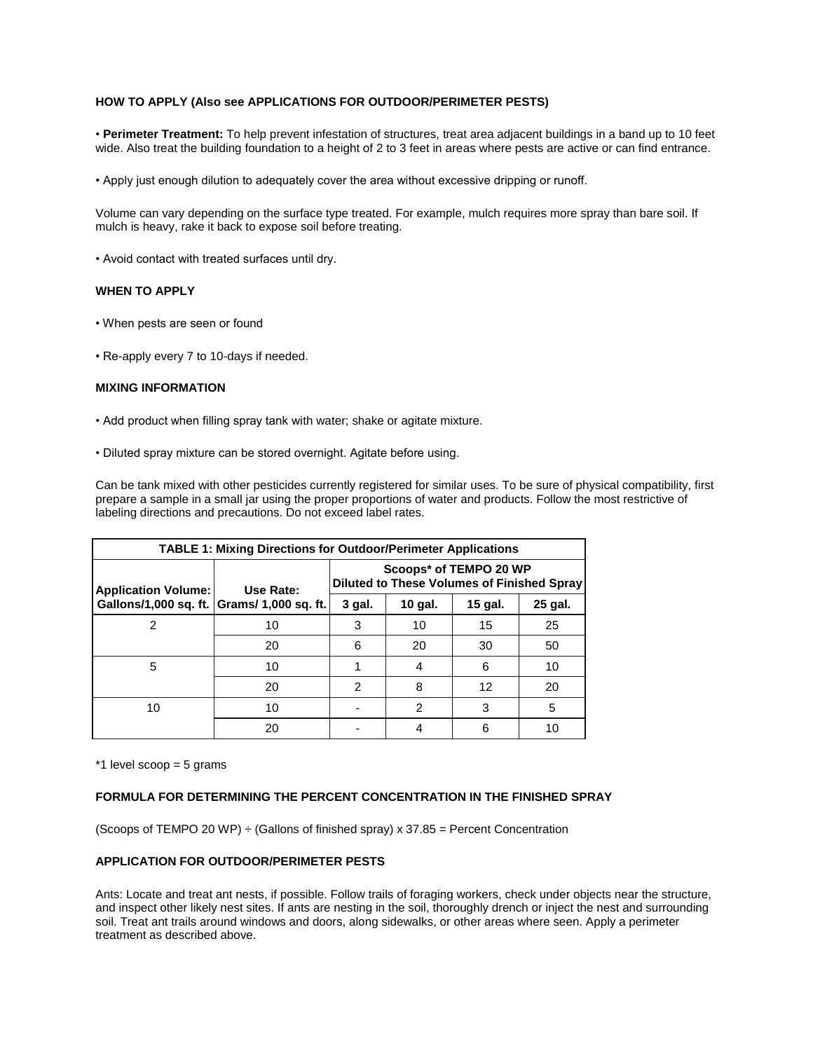# **HOW TO APPLY (Also see APPLICATIONS FOR OUTDOOR/PERIMETER PESTS)**

• **Perimeter Treatment:** To help prevent infestation of structures, treat area adjacent buildings in a band up to 10 feet wide. Also treat the building foundation to a height of 2 to 3 feet in areas where pests are active or can find entrance.

• Apply just enough dilution to adequately cover the area without excessive dripping or runoff.

Volume can vary depending on the surface type treated. For example, mulch requires more spray than bare soil. If mulch is heavy, rake it back to expose soil before treating.

• Avoid contact with treated surfaces until dry.

## **WHEN TO APPLY**

- When pests are seen or found
- Re-apply every 7 to 10-days if needed.

#### **MIXING INFORMATION**

- Add product when filling spray tank with water; shake or agitate mixture.
- Diluted spray mixture can be stored overnight. Agitate before using.

Can be tank mixed with other pesticides currently registered for similar uses. To be sure of physical compatibility, first prepare a sample in a small jar using the proper proportions of water and products. Follow the most restrictive of labeling directions and precautions. Do not exceed label rates.

| <b>TABLE 1: Mixing Directions for Outdoor/Perimeter Applications</b> |           |                                                                      |         |         |         |  |  |
|----------------------------------------------------------------------|-----------|----------------------------------------------------------------------|---------|---------|---------|--|--|
| <b>Application Volume:</b>                                           | Use Rate: | Scoops* of TEMPO 20 WP<br>Diluted to These Volumes of Finished Spray |         |         |         |  |  |
| Gallons/1,000 sq. ft. Grams/ 1,000 sq. ft.                           |           | 3 gal.                                                               | 10 gal. | 15 gal. | 25 gal. |  |  |
| 2                                                                    | 10        | 3                                                                    | 10      | 15      | 25      |  |  |
|                                                                      | 20        | 6                                                                    | 20      | 30      | 50      |  |  |
| 5                                                                    | 10        |                                                                      | 4       | 6       | 10      |  |  |
|                                                                      | 20        | 2                                                                    | 8       | 12      | 20      |  |  |
| 10                                                                   | 10        |                                                                      | 2       | 3       | 5       |  |  |
|                                                                      | 20        |                                                                      |         | 6       | 10      |  |  |

\*1 level scoop = 5 grams

#### **FORMULA FOR DETERMINING THE PERCENT CONCENTRATION IN THE FINISHED SPRAY**

(Scoops of TEMPO 20 WP)  $\div$  (Gallons of finished spray) x 37.85 = Percent Concentration

#### **APPLICATION FOR OUTDOOR/PERIMETER PESTS**

Ants: Locate and treat ant nests, if possible. Follow trails of foraging workers, check under objects near the structure, and inspect other likely nest sites. If ants are nesting in the soil, thoroughly drench or inject the nest and surrounding soil. Treat ant trails around windows and doors, along sidewalks, or other areas where seen. Apply a perimeter treatment as described above.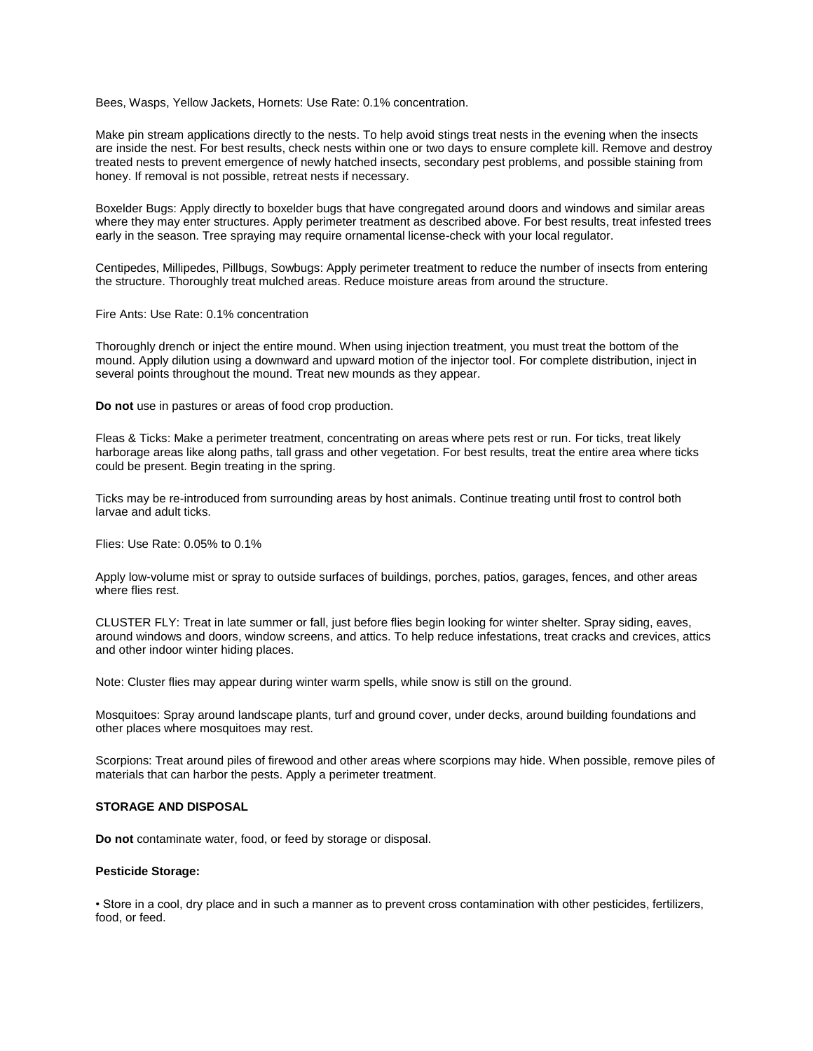Bees, Wasps, Yellow Jackets, Hornets: Use Rate: 0.1% concentration.

Make pin stream applications directly to the nests. To help avoid stings treat nests in the evening when the insects are inside the nest. For best results, check nests within one or two days to ensure complete kill. Remove and destroy treated nests to prevent emergence of newly hatched insects, secondary pest problems, and possible staining from honey. If removal is not possible, retreat nests if necessary.

Boxelder Bugs: Apply directly to boxelder bugs that have congregated around doors and windows and similar areas where they may enter structures. Apply perimeter treatment as described above. For best results, treat infested trees early in the season. Tree spraying may require ornamental license-check with your local regulator.

Centipedes, Millipedes, Pillbugs, Sowbugs: Apply perimeter treatment to reduce the number of insects from entering the structure. Thoroughly treat mulched areas. Reduce moisture areas from around the structure.

Fire Ants: Use Rate: 0.1% concentration

Thoroughly drench or inject the entire mound. When using injection treatment, you must treat the bottom of the mound. Apply dilution using a downward and upward motion of the injector tool. For complete distribution, inject in several points throughout the mound. Treat new mounds as they appear.

**Do not** use in pastures or areas of food crop production.

Fleas & Ticks: Make a perimeter treatment, concentrating on areas where pets rest or run. For ticks, treat likely harborage areas like along paths, tall grass and other vegetation. For best results, treat the entire area where ticks could be present. Begin treating in the spring.

Ticks may be re-introduced from surrounding areas by host animals. Continue treating until frost to control both larvae and adult ticks.

Flies: Use Rate: 0.05% to 0.1%

Apply low-volume mist or spray to outside surfaces of buildings, porches, patios, garages, fences, and other areas where flies rest.

CLUSTER FLY: Treat in late summer or fall, just before flies begin looking for winter shelter. Spray siding, eaves, around windows and doors, window screens, and attics. To help reduce infestations, treat cracks and crevices, attics and other indoor winter hiding places.

Note: Cluster flies may appear during winter warm spells, while snow is still on the ground.

Mosquitoes: Spray around landscape plants, turf and ground cover, under decks, around building foundations and other places where mosquitoes may rest.

Scorpions: Treat around piles of firewood and other areas where scorpions may hide. When possible, remove piles of materials that can harbor the pests. Apply a perimeter treatment.

#### **STORAGE AND DISPOSAL**

**Do not** contaminate water, food, or feed by storage or disposal.

#### **Pesticide Storage:**

• Store in a cool, dry place and in such a manner as to prevent cross contamination with other pesticides, fertilizers, food, or feed.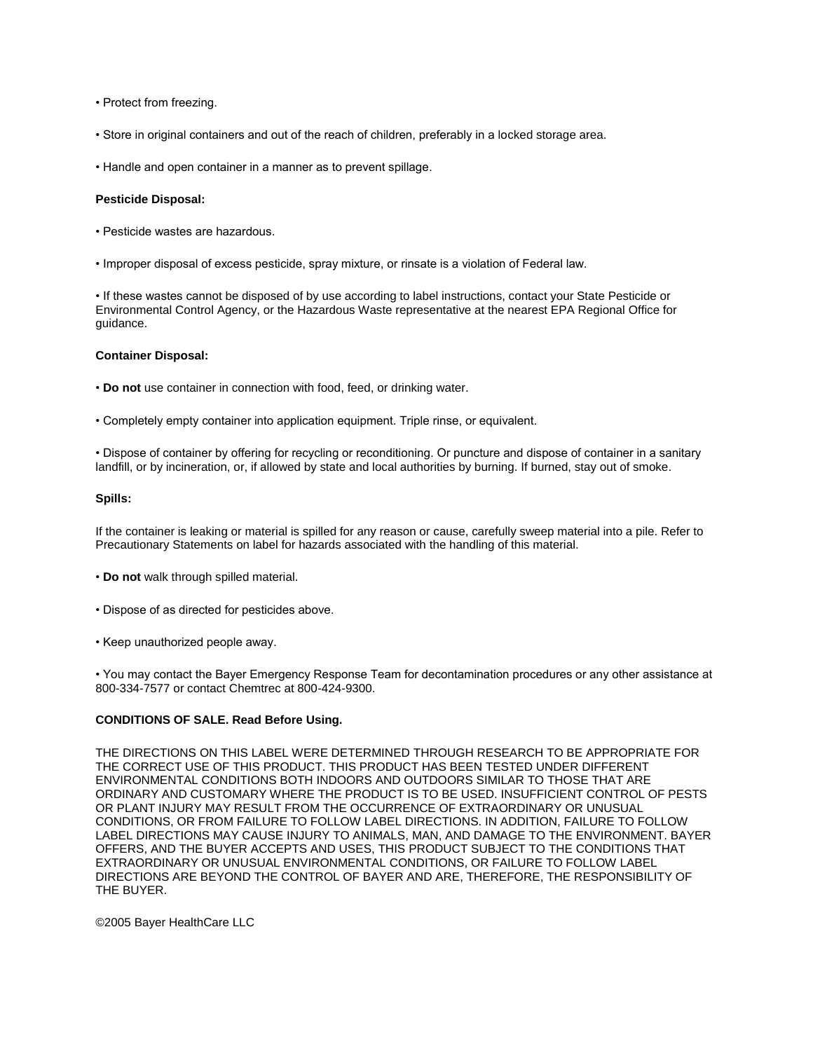- Protect from freezing.
- Store in original containers and out of the reach of children, preferably in a locked storage area.
- Handle and open container in a manner as to prevent spillage.

#### **Pesticide Disposal:**

- Pesticide wastes are hazardous.
- Improper disposal of excess pesticide, spray mixture, or rinsate is a violation of Federal law.

• If these wastes cannot be disposed of by use according to label instructions, contact your State Pesticide or Environmental Control Agency, or the Hazardous Waste representative at the nearest EPA Regional Office for guidance.

#### **Container Disposal:**

- **Do not** use container in connection with food, feed, or drinking water.
- Completely empty container into application equipment. Triple rinse, or equivalent.

• Dispose of container by offering for recycling or reconditioning. Or puncture and dispose of container in a sanitary landfill, or by incineration, or, if allowed by state and local authorities by burning. If burned, stay out of smoke.

#### **Spills:**

If the container is leaking or material is spilled for any reason or cause, carefully sweep material into a pile. Refer to Precautionary Statements on label for hazards associated with the handling of this material.

- **Do not** walk through spilled material.
- Dispose of as directed for pesticides above.
- Keep unauthorized people away.

• You may contact the Bayer Emergency Response Team for decontamination procedures or any other assistance at 800-334-7577 or contact Chemtrec at 800-424-9300.

#### **CONDITIONS OF SALE. Read Before Using.**

THE DIRECTIONS ON THIS LABEL WERE DETERMINED THROUGH RESEARCH TO BE APPROPRIATE FOR THE CORRECT USE OF THIS PRODUCT. THIS PRODUCT HAS BEEN TESTED UNDER DIFFERENT ENVIRONMENTAL CONDITIONS BOTH INDOORS AND OUTDOORS SIMILAR TO THOSE THAT ARE ORDINARY AND CUSTOMARY WHERE THE PRODUCT IS TO BE USED. INSUFFICIENT CONTROL OF PESTS OR PLANT INJURY MAY RESULT FROM THE OCCURRENCE OF EXTRAORDINARY OR UNUSUAL CONDITIONS, OR FROM FAILURE TO FOLLOW LABEL DIRECTIONS. IN ADDITION, FAILURE TO FOLLOW LABEL DIRECTIONS MAY CAUSE INJURY TO ANIMALS, MAN, AND DAMAGE TO THE ENVIRONMENT. BAYER OFFERS, AND THE BUYER ACCEPTS AND USES, THIS PRODUCT SUBJECT TO THE CONDITIONS THAT EXTRAORDINARY OR UNUSUAL ENVIRONMENTAL CONDITIONS, OR FAILURE TO FOLLOW LABEL DIRECTIONS ARE BEYOND THE CONTROL OF BAYER AND ARE, THEREFORE, THE RESPONSIBILITY OF THE BUYER.

©2005 Bayer HealthCare LLC